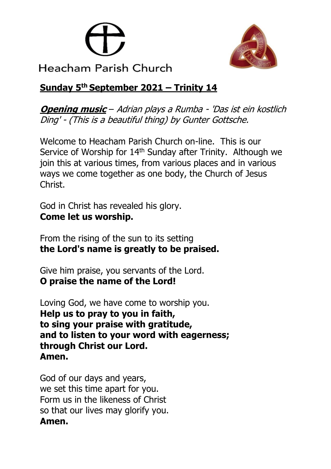



Heacham Parish Church

# **Sunday 5 th September 2021 – Trinity 14**

**Opening music** – Adrian plays a Rumba - 'Das ist ein kostlich Ding' - (This is a beautiful thing) by Gunter Gottsche.

Welcome to Heacham Parish Church on-line. This is our Service of Worship for 14<sup>th</sup> Sunday after Trinity. Although we join this at various times, from various places and in various ways we come together as one body, the Church of Jesus Christ.

God in Christ has revealed his glory. **Come let us worship.**

From the rising of the sun to its setting **the Lord's name is greatly to be praised.**

Give him praise, you servants of the Lord. **O praise the name of the Lord!**

Loving God, we have come to worship you. **Help us to pray to you in faith, to sing your praise with gratitude, and to listen to your word with eagerness; through Christ our Lord. Amen.**

God of our days and years, we set this time apart for you. Form us in the likeness of Christ so that our lives may glorify you. **Amen.**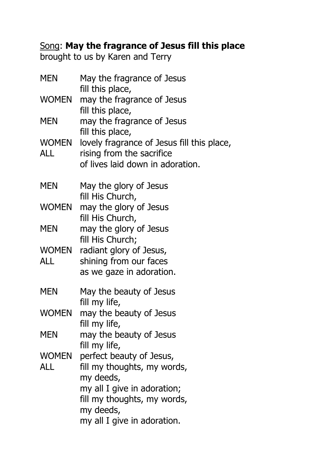# Song: **May the fragrance of Jesus fill this place**

brought to us by Karen and Terry

| <b>MEN</b>   | May the fragrance of Jesus<br>fill this place,                                                                                                                                 |
|--------------|--------------------------------------------------------------------------------------------------------------------------------------------------------------------------------|
| <b>WOMEN</b> | may the fragrance of Jesus<br>fill this place,                                                                                                                                 |
| <b>MEN</b>   | may the fragrance of Jesus<br>fill this place,                                                                                                                                 |
| WOMEN<br>ALL | lovely fragrance of Jesus fill this place,<br>rising from the sacrifice<br>of lives laid down in adoration.                                                                    |
| <b>MEN</b>   | May the glory of Jesus<br>fill His Church,                                                                                                                                     |
| WOMEN        | may the glory of Jesus<br>fill His Church,                                                                                                                                     |
| <b>MEN</b>   | may the glory of Jesus<br>fill His Church;                                                                                                                                     |
| WOMEN<br>ALL | radiant glory of Jesus,<br>shining from our faces<br>as we gaze in adoration.                                                                                                  |
| <b>MEN</b>   | May the beauty of Jesus<br>fill my life,                                                                                                                                       |
| WOMEN        | may the beauty of Jesus<br>fill my life,                                                                                                                                       |
| MEN          | may the beauty of Jesus<br>fill my life,                                                                                                                                       |
| WOMEN<br>ALL | perfect beauty of Jesus,<br>fill my thoughts, my words,<br>my deeds,<br>my all I give in adoration;<br>fill my thoughts, my words,<br>my deeds,<br>my all I give in adoration. |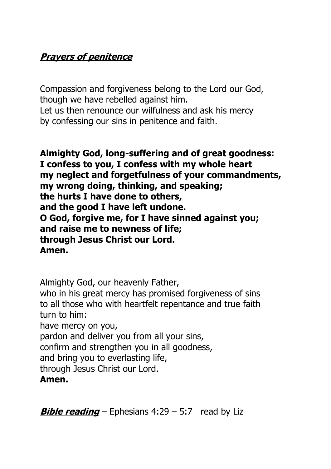# **Prayers of penitence**

Compassion and forgiveness belong to the Lord our God, though we have rebelled against him. Let us then renounce our wilfulness and ask his mercy by confessing our sins in penitence and faith.

**Almighty God, long-suffering and of great goodness: I confess to you, I confess with my whole heart my neglect and forgetfulness of your commandments, my wrong doing, thinking, and speaking; the hurts I have done to others, and the good I have left undone. O God, forgive me, for I have sinned against you; and raise me to newness of life; through Jesus Christ our Lord. Amen.**

Almighty God, our heavenly Father, who in his great mercy has promised forgiveness of sins to all those who with heartfelt repentance and true faith turn to him: have mercy on you, pardon and deliver you from all your sins, confirm and strengthen you in all goodness, and bring you to everlasting life, through Jesus Christ our Lord. **Amen.**

**Bible reading** – Ephesians 4:29 – 5:7 read by Liz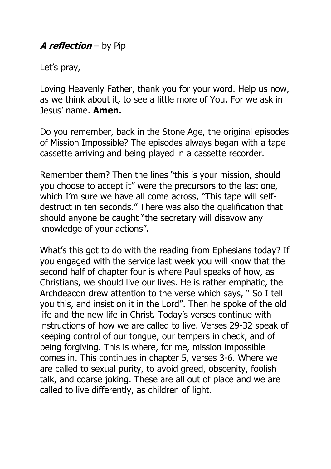## **A reflection** – by Pip

Let's pray,

Loving Heavenly Father, thank you for your word. Help us now, as we think about it, to see a little more of You. For we ask in Jesus' name. **Amen.**

Do you remember, back in the Stone Age, the original episodes of Mission Impossible? The episodes always began with a tape cassette arriving and being played in a cassette recorder.

Remember them? Then the lines "this is your mission, should you choose to accept it" were the precursors to the last one, which I'm sure we have all come across, "This tape will selfdestruct in ten seconds." There was also the qualification that should anyone be caught "the secretary will disavow any knowledge of your actions".

What's this got to do with the reading from Ephesians today? If you engaged with the service last week you will know that the second half of chapter four is where Paul speaks of how, as Christians, we should live our lives. He is rather emphatic, the Archdeacon drew attention to the verse which says, " So I tell you this, and insist on it in the Lord". Then he spoke of the old life and the new life in Christ. Today's verses continue with instructions of how we are called to live. Verses 29-32 speak of keeping control of our tongue, our tempers in check, and of being forgiving. This is where, for me, mission impossible comes in. This continues in chapter 5, verses 3-6. Where we are called to sexual purity, to avoid greed, obscenity, foolish talk, and coarse joking. These are all out of place and we are called to live differently, as children of light.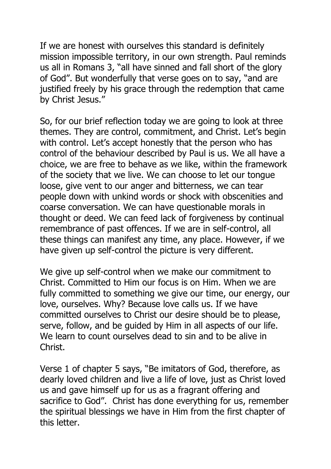If we are honest with ourselves this standard is definitely mission impossible territory, in our own strength. Paul reminds us all in Romans 3, "all have sinned and fall short of the glory of God". But wonderfully that verse goes on to say, "and are justified freely by his grace through the redemption that came by Christ Jesus."

So, for our brief reflection today we are going to look at three themes. They are control, commitment, and Christ. Let's begin with control. Let's accept honestly that the person who has control of the behaviour described by Paul is us. We all have a choice, we are free to behave as we like, within the framework of the society that we live. We can choose to let our tongue loose, give vent to our anger and bitterness, we can tear people down with unkind words or shock with obscenities and coarse conversation. We can have questionable morals in thought or deed. We can feed lack of forgiveness by continual remembrance of past offences. If we are in self-control, all these things can manifest any time, any place. However, if we have given up self-control the picture is very different.

We give up self-control when we make our commitment to Christ. Committed to Him our focus is on Him. When we are fully committed to something we give our time, our energy, our love, ourselves. Why? Because love calls us. If we have committed ourselves to Christ our desire should be to please, serve, follow, and be guided by Him in all aspects of our life. We learn to count ourselves dead to sin and to be alive in Christ.

Verse 1 of chapter 5 says, "Be imitators of God, therefore, as dearly loved children and live a life of love, just as Christ loved us and gave himself up for us as a fragrant offering and sacrifice to God". Christ has done everything for us, remember the spiritual blessings we have in Him from the first chapter of this letter.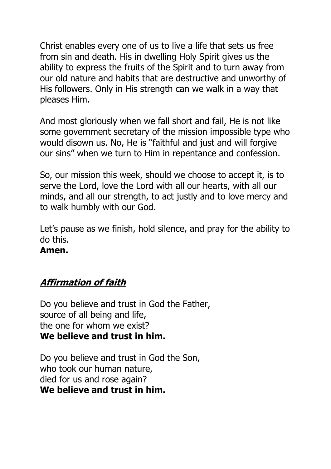Christ enables every one of us to live a life that sets us free from sin and death. His in dwelling Holy Spirit gives us the ability to express the fruits of the Spirit and to turn away from our old nature and habits that are destructive and unworthy of His followers. Only in His strength can we walk in a way that pleases Him.

And most gloriously when we fall short and fail, He is not like some government secretary of the mission impossible type who would disown us. No, He is "faithful and just and will forgive our sins" when we turn to Him in repentance and confession.

So, our mission this week, should we choose to accept it, is to serve the Lord, love the Lord with all our hearts, with all our minds, and all our strength, to act justly and to love mercy and to walk humbly with our God.

Let's pause as we finish, hold silence, and pray for the ability to do this.

#### **Amen.**

## **Affirmation of faith**

Do you believe and trust in God the Father, source of all being and life, the one for whom we exist? **We believe and trust in him.**

Do you believe and trust in God the Son, who took our human nature, died for us and rose again? **We believe and trust in him.**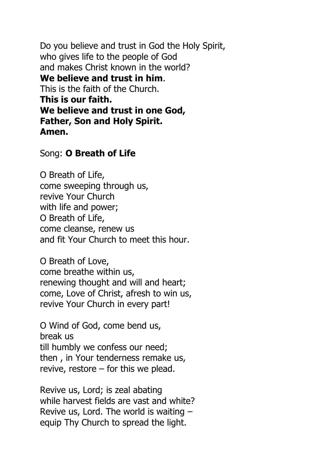Do you believe and trust in God the Holy Spirit, who gives life to the people of God and makes Christ known in the world? **We believe and trust in him**. This is the faith of the Church. **This is our faith. We believe and trust in one God, Father, Son and Holy Spirit. Amen.**

#### Song: **O Breath of Life**

O Breath of Life, come sweeping through us, revive Your Church with life and power; O Breath of Life, come cleanse, renew us and fit Your Church to meet this hour.

O Breath of Love, come breathe within us, renewing thought and will and heart; come, Love of Christ, afresh to win us, revive Your Church in every part!

O Wind of God, come bend us, break us till humbly we confess our need; then , in Your tenderness remake us, revive, restore – for this we plead.

Revive us, Lord; is zeal abating while harvest fields are vast and white? Revive us, Lord. The world is waiting – equip Thy Church to spread the light.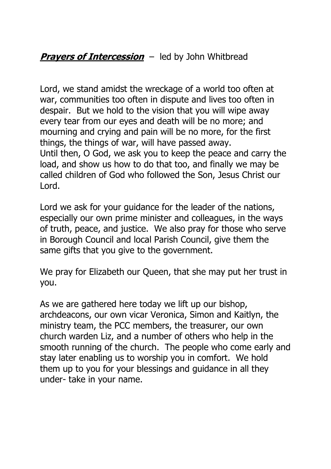## **Prayers of Intercession** – led by John Whitbread

Lord, we stand amidst the wreckage of a world too often at war, communities too often in dispute and lives too often in despair. But we hold to the vision that you will wipe away every tear from our eyes and death will be no more; and mourning and crying and pain will be no more, for the first things, the things of war, will have passed away. Until then, O God, we ask you to keep the peace and carry the load, and show us how to do that too, and finally we may be called children of God who followed the Son, Jesus Christ our Lord.

Lord we ask for your guidance for the leader of the nations, especially our own prime minister and colleagues, in the ways of truth, peace, and justice. We also pray for those who serve in Borough Council and local Parish Council, give them the same gifts that you give to the government.

We pray for Elizabeth our Oueen, that she may put her trust in you.

As we are gathered here today we lift up our bishop, archdeacons, our own vicar Veronica, Simon and Kaitlyn, the ministry team, the PCC members, the treasurer, our own church warden Liz, and a number of others who help in the smooth running of the church. The people who come early and stay later enabling us to worship you in comfort. We hold them up to you for your blessings and guidance in all they under- take in your name.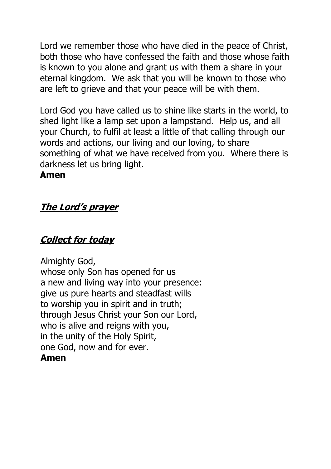Lord we remember those who have died in the peace of Christ, both those who have confessed the faith and those whose faith is known to you alone and grant us with them a share in your eternal kingdom. We ask that you will be known to those who are left to grieve and that your peace will be with them.

Lord God you have called us to shine like starts in the world, to shed light like a lamp set upon a lampstand. Help us, and all your Church, to fulfil at least a little of that calling through our words and actions, our living and our loving, to share something of what we have received from you. Where there is darkness let us bring light.

#### **Amen**

## **The Lord's prayer**

## **Collect for today**

Almighty God, whose only Son has opened for us a new and living way into your presence: give us pure hearts and steadfast wills to worship you in spirit and in truth; through Jesus Christ your Son our Lord, who is alive and reigns with you, in the unity of the Holy Spirit, one God, now and for ever. **Amen**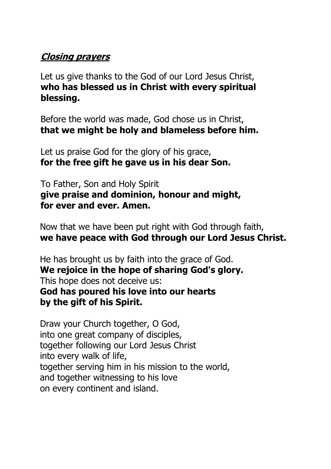### **Closing prayers**

Let us give thanks to the God of our Lord Jesus Christ, **who has blessed us in Christ with every spiritual blessing.**

Before the world was made, God chose us in Christ, **that we might be holy and blameless before him.**

Let us praise God for the glory of his grace, **for the free gift he gave us in his dear Son.**

To Father, Son and Holy Spirit **give praise and dominion, honour and might, for ever and ever. Amen.**

Now that we have been put right with God through faith, **we have peace with God through our Lord Jesus Christ.** 

He has brought us by faith into the grace of God. **We rejoice in the hope of sharing God's glory.** This hope does not deceive us: **God has poured his love into our hearts by the gift of his Spirit.**

Draw your Church together, O God, into one great company of disciples, together following our Lord Jesus Christ into every walk of life, together serving him in his mission to the world, and together witnessing to his love on every continent and island.